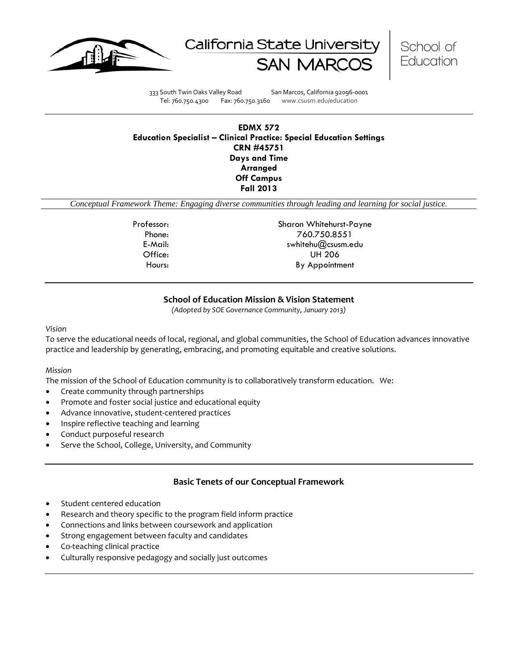





333 South Twin Oaks Valley Road San Marcos, California 92096-0001 Tel: 760.750.4300 Fax: 760.750.3160 www.csusm.edu/education

## **EDMX 572 Education Specialist – Clinical Practice: Special Education Settings CRN #45751 Days and Time Arranged Off Campus Fall 2013**

*Conceptual Framework Theme: Engaging diverse communities through leading and learning for social justice.*

Professor: Sharon Whitehurst-Payne Phone: 760.750.8551 E-Mail: swhitehu@csusm.edu Office: UH 206 Hours: By Appointment

# **School of Education Mission & Vision Statement**

*(Adopted by SOE Governance Community, January 2013)*

*Vision*

To serve the educational needs of local, regional, and global communities, the School of Education advances innovative practice and leadership by generating, embracing, and promoting equitable and creative solutions.

#### *Mission*

The mission of the School of Education community is to collaboratively transform education. We:

- Create community through partnerships
- Promote and foster social justice and educational equity
- Advance innovative, student-centered practices
- Inspire reflective teaching and learning
- Conduct purposeful research
- Serve the School, College, University, and Community

## **Basic Tenets of our Conceptual Framework**

- Student centered education
- Research and theory specific to the program field inform practice
- Connections and links between coursework and application
- Strong engagement between faculty and candidates
- Co-teaching clinical practice
- Culturally responsive pedagogy and socially just outcomes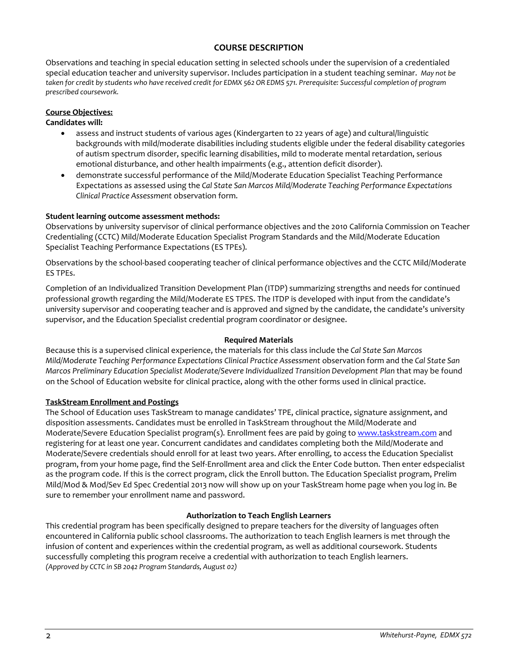# **COURSE DESCRIPTION**

Observations and teaching in special education setting in selected schools under the supervision of a credentialed special education teacher and university supervisor. Includes participation in a student teaching seminar. *May not be taken for credit by students who have received credit for EDMX 562 OR EDMS 571. Prerequisite: Successful completion of program prescribed coursework.* 

## **Course Objectives:**

#### **Candidates will:**

- assess and instruct students of various ages (Kindergarten to 22 years of age) and cultural/linguistic backgrounds with mild/moderate disabilities including students eligible under the federal disability categories of autism spectrum disorder, specific learning disabilities, mild to moderate mental retardation, serious emotional disturbance, and other health impairments (e.g., attention deficit disorder).
- demonstrate successful performance of the Mild/Moderate Education Specialist Teaching Performance Expectations as assessed using the *Cal State San Marcos Mild/Moderate Teaching Performance Expectations Clinical Practice Assessment* observation form.

### **Student learning outcome assessment methods:**

Observations by university supervisor of clinical performance objectives and the 2010 California Commission on Teacher Credentialing (CCTC) Mild/Moderate Education Specialist Program Standards and the Mild/Moderate Education Specialist Teaching Performance Expectations (ES TPEs).

Observations by the school-based cooperating teacher of clinical performance objectives and the CCTC Mild/Moderate ES TPEs.

Completion of an Individualized Transition Development Plan (ITDP) summarizing strengths and needs for continued professional growth regarding the Mild/Moderate ES TPES. The ITDP is developed with input from the candidate's university supervisor and cooperating teacher and is approved and signed by the candidate, the candidate's university supervisor, and the Education Specialist credential program coordinator or designee.

#### **Required Materials**

Because this is a supervised clinical experience, the materials for this class include the *Cal State San Marcos Mild/Moderate Teaching Performance Expectations Clinical Practice Assessment* observation form and the *Cal State San Marcos Preliminary Education Specialist Moderate/Severe Individualized Transition Development Plan* that may be found on the School of Education website for clinical practice, along with the other forms used in clinical practice.

## **TaskStream Enrollment and Postings**

The School of Education uses TaskStream to manage candidates' TPE, clinical practice, signature assignment, and disposition assessments. Candidates must be enrolled in TaskStream throughout the Mild/Moderate and Moderate/Severe Education Specialist program(s). Enrollment fees are paid by going to [www.taskstream.com](http://www.taskstrem.com/) and registering for at least one year. Concurrent candidates and candidates completing both the Mild/Moderate and Moderate/Severe credentials should enroll for at least two years. After enrolling, to access the Education Specialist program, from your home page, find the Self-Enrollment area and click the Enter Code button. Then enter edspecialist as the program code. If this is the correct program, click the Enroll button. The Education Specialist program, Prelim Mild/Mod & Mod/Sev Ed Spec Credential 2013 now will show up on your TaskStream home page when you log in. Be sure to remember your enrollment name and password.

#### **Authorization to Teach English Learners**

This credential program has been specifically designed to prepare teachers for the diversity of languages often encountered in California public school classrooms. The authorization to teach English learners is met through the infusion of content and experiences within the credential program, as well as additional coursework. Students successfully completing this program receive a credential with authorization to teach English learners. *(Approved by CCTC in SB 2042 Program Standards, August 02)*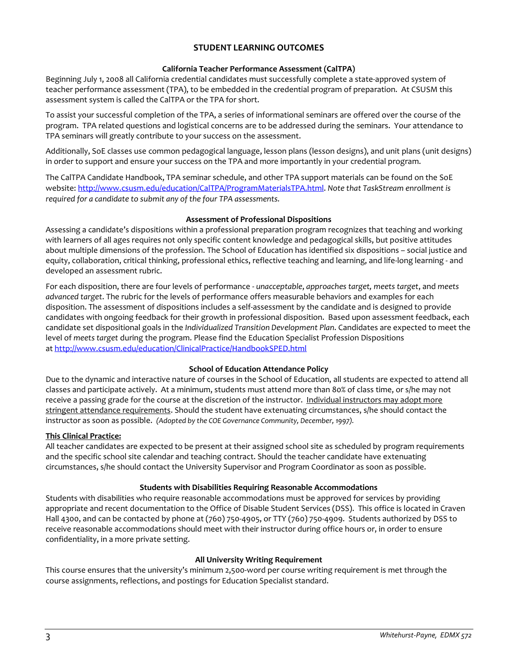## **STUDENT LEARNING OUTCOMES**

#### **California Teacher Performance Assessment (CalTPA)**

Beginning July 1, 2008 all California credential candidates must successfully complete a state-approved system of teacher performance assessment (TPA), to be embedded in the credential program of preparation. At CSUSM this assessment system is called the CalTPA or the TPA for short.

To assist your successful completion of the TPA, a series of informational seminars are offered over the course of the program. TPA related questions and logistical concerns are to be addressed during the seminars. Your attendance to TPA seminars will greatly contribute to your success on the assessment.

Additionally, SoE classes use common pedagogical language, lesson plans (lesson designs), and unit plans (unit designs) in order to support and ensure your success on the TPA and more importantly in your credential program.

The CalTPA Candidate Handbook, TPA seminar schedule, and other TPA support materials can be found on the SoE website: [http://www.csusm.edu/education/CalTPA/ProgramMaterialsTPA.html.](http://www.csusm.edu/education/CalTPA/ProgramMaterialsTPA.html) *Note that TaskStream enrollment is required for a candidate to submit any of the four TPA assessments.*

### **Assessment of Professional Dispositions**

Assessing a candidate's dispositions within a professional preparation program recognizes that teaching and working with learners of all ages requires not only specific content knowledge and pedagogical skills, but positive attitudes about multiple dimensions of the profession. The School of Education has identified six dispositions – social justice and equity, collaboration, critical thinking, professional ethics, reflective teaching and learning, and life-long learning - and developed an assessment rubric.

For each disposition, there are four levels of performance - *unacceptable*, *approaches target, meets target*, and *meets advanced target*. The rubric for the levels of performance offers measurable behaviors and examples for each disposition. The assessment of dispositions includes a self-assessment by the candidate and is designed to provide candidates with ongoing feedback for their growth in professional disposition. Based upon assessment feedback, each candidate set dispositional goals in the *Individualized Transition Development Plan*. Candidates are expected to meet the level of *meets target* during the program. Please find the Education Specialist Profession Dispositions a[t http://www.csusm.edu/education/ClinicalPractice/HandbookSPED.html](http://www.csusm.edu/education/ClinicalPractice/HandbookSPED.html)

## **School of Education Attendance Policy**

Due to the dynamic and interactive nature of courses in the School of Education, all students are expected to attend all classes and participate actively. At a minimum, students must attend more than 80% of class time, or s/he may not receive a passing grade for the course at the discretion of the instructor. Individual instructors may adopt more stringent attendance requirements. Should the student have extenuating circumstances, s/he should contact the instructor as soon as possible. *(Adopted by the COE Governance Community, December, 1997).*

#### **This Clinical Practice:**

All teacher candidates are expected to be present at their assigned school site as scheduled by program requirements and the specific school site calendar and teaching contract. Should the teacher candidate have extenuating circumstances, s/he should contact the University Supervisor and Program Coordinator as soon as possible.

## **Students with Disabilities Requiring Reasonable Accommodations**

Students with disabilities who require reasonable accommodations must be approved for services by providing appropriate and recent documentation to the Office of Disable Student Services (DSS). This office is located in Craven Hall 4300, and can be contacted by phone at (760) 750-4905, or TTY (760) 750-4909. Students authorized by DSS to receive reasonable accommodations should meet with their instructor during office hours or, in order to ensure confidentiality, in a more private setting.

#### **All University Writing Requirement**

This course ensures that the university's minimum 2,500-word per course writing requirement is met through the course assignments, reflections, and postings for Education Specialist standard.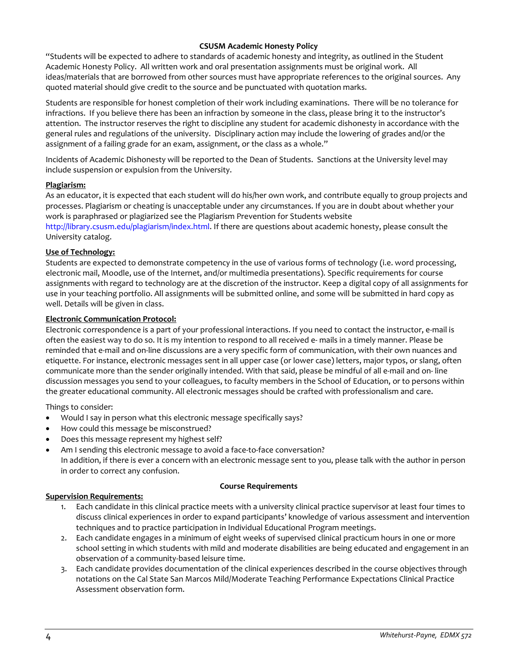### **CSUSM Academic Honesty Policy**

"Students will be expected to adhere to standards of academic honesty and integrity, as outlined in the Student Academic Honesty Policy. All written work and oral presentation assignments must be original work. All ideas/materials that are borrowed from other sources must have appropriate references to the original sources. Any quoted material should give credit to the source and be punctuated with quotation marks.

Students are responsible for honest completion of their work including examinations. There will be no tolerance for infractions. If you believe there has been an infraction by someone in the class, please bring it to the instructor's attention. The instructor reserves the right to discipline any student for academic dishonesty in accordance with the general rules and regulations of the university. Disciplinary action may include the lowering of grades and/or the assignment of a failing grade for an exam, assignment, or the class as a whole."

Incidents of Academic Dishonesty will be reported to the Dean of Students. Sanctions at the University level may include suspension or expulsion from the University.

#### **Plagiarism:**

As an educator, it is expected that each student will do his/her own work, and contribute equally to group projects and processes. Plagiarism or cheating is unacceptable under any circumstances. If you are in doubt about whether your work is paraphrased or plagiarized see the Plagiarism Prevention for Students website http://library.csusm.edu/plagiarism/index.html. If there are questions about academic honesty, please consult the University catalog.

### **Use of Technology:**

Students are expected to demonstrate competency in the use of various forms of technology (i.e. word processing, electronic mail, Moodle, use of the Internet, and/or multimedia presentations). Specific requirements for course assignments with regard to technology are at the discretion of the instructor. Keep a digital copy of all assignments for use in your teaching portfolio. All assignments will be submitted online, and some will be submitted in hard copy as well. Details will be given in class.

### **Electronic Communication Protocol:**

Electronic correspondence is a part of your professional interactions. If you need to contact the instructor, e-mail is often the easiest way to do so. It is my intention to respond to all received e- mails in a timely manner. Please be reminded that e-mail and on-line discussions are a very specific form of communication, with their own nuances and etiquette. For instance, electronic messages sent in all upper case (or lower case) letters, major typos, or slang, often communicate more than the sender originally intended. With that said, please be mindful of all e-mail and on- line discussion messages you send to your colleagues, to faculty members in the School of Education, or to persons within the greater educational community. All electronic messages should be crafted with professionalism and care.

Things to consider:

- Would I say in person what this electronic message specifically says?
- How could this message be misconstrued?
- Does this message represent my highest self?
- Am I sending this electronic message to avoid a face-to-face conversation? In addition, if there is ever a concern with an electronic message sent to you, please talk with the author in person in order to correct any confusion.

#### **Course Requirements**

#### **Supervision Requirements:**

- 1. Each candidate in this clinical practice meets with a university clinical practice supervisor at least four times to discuss clinical experiences in order to expand participants' knowledge of various assessment and intervention techniques and to practice participation in Individual Educational Program meetings.
- 2. Each candidate engages in a minimum of eight weeks of supervised clinical practicum hours in one or more school setting in which students with mild and moderate disabilities are being educated and engagement in an observation of a community-based leisure time.
- 3. Each candidate provides documentation of the clinical experiences described in the course objectives through notations on the Cal State San Marcos Mild/Moderate Teaching Performance Expectations Clinical Practice Assessment observation form.